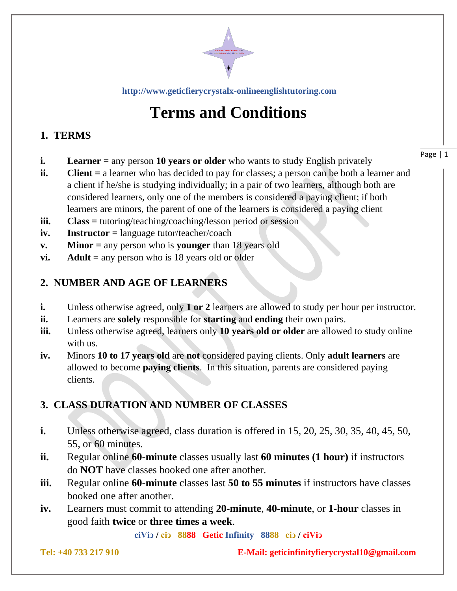

**[http://www.geticfierycrystalx-onlineenglishtutoring.com](http://www.geticfierycrystalx-onlineenglishtutoring.com/)**

# **Terms and Conditions**

## **1. TERMS**

- **i. Learner** = any person 10 **years or older** who wants to study English privately
- **ii. Client =** a learner who has decided to pay for classes; a person can be both a learner and a client if he/she is studying individually; in a pair of two learners, although both are considered learners, only one of the members is considered a paying client; if both learners are minors, the parent of one of the learners is considered a paying client
- **iii. Class =** tutoring/teaching/coaching/lesson period or session
- **iv. Instructor =** language tutor/teacher/coach
- **v. Minor =** any person who is **younger** than 18 years old
- **vi. Adult =** any person who is 18 years old or older

#### **2. NUMBER AND AGE OF LEARNERS**

- **i.** Unless otherwise agreed, only **1 or 2** learners are allowed to study per hour per instructor.
- **ii.** Learners are **solely** responsible for **starting** and **ending** their own pairs.
- **iii.** Unless otherwise agreed, learners only **10 years old or older** are allowed to study online with us.
- **iv.** Minors **10 to 17 years old** are **not** considered paying clients. Only **adult learners** are allowed to become **paying clients**. In this situation, parents are considered paying clients.

# **3. CLASS DURATION AND NUMBER OF CLASSES**

- **i.** Unless otherwise agreed, class duration is offered in 15, 20, 25, 30, 35, 40, 45, 50, 55, or 60 minutes.
- **ii.** Regular online **60-minute** classes usually last **60 minutes (1 hour)** if instructors do **NOT** have classes booked one after another.
- **iii.** Regular online **60-minute** classes last **50 to 55 minutes** if instructors have classes booked one after another.
- **iv.** Learners must commit to attending **20-minute**, **40-minute**, or **1-hour** classes in good faith **twice** or **three times a week**.

**ciViↄ / ciↄ 8888 Getic Infinity 8888 ciↄ / ciViↄ**

**Tel: +40 733 217 910 E-Mail: geticinfinityfierycrystal10@gmail.com**

Page | 1